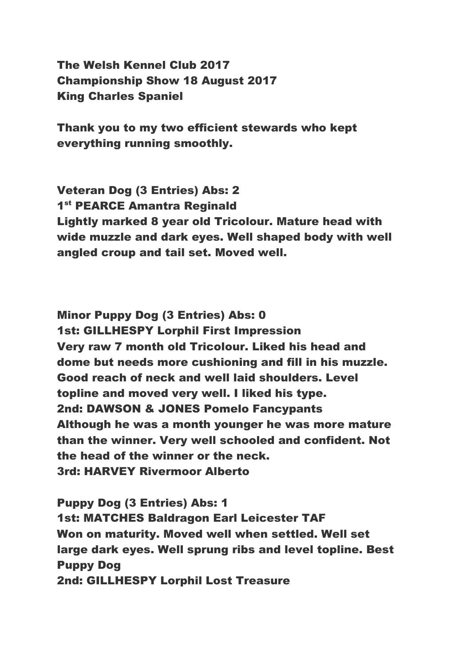The Welsh Kennel Club 2017 Championship Show 18 August 2017 King Charles Spaniel

Thank you to my two efficient stewards who kept everything running smoothly.

Veteran Dog (3 Entries) Abs: 2 1<sup>st</sup> PEARCE Amantra Reginald Lightly marked 8 year old Tricolour. Mature head with wide muzzle and dark eyes. Well shaped body with well angled croup and tail set. Moved well.

Minor Puppy Dog (3 Entries) Abs: 0 1st: GILLHESPY Lorphil First Impression Very raw 7 month old Tricolour. Liked his head and dome but needs more cushioning and fill in his muzzle. Good reach of neck and well laid shoulders. Level topline and moved very well. I liked his type. 2nd: DAWSON & JONES Pomelo Fancypants Although he was a month younger he was more mature than the winner. Very well schooled and confident. Not the head of the winner or the neck. 3rd: HARVEY Rivermoor Alberto

Puppy Dog (3 Entries) Abs: 1 1st: MATCHES Baldragon Earl Leicester TAF Won on maturity. Moved well when settled. Well set large dark eyes. Well sprung ribs and level topline. Best Puppy Dog 2nd: GILLHESPY Lorphil Lost Treasure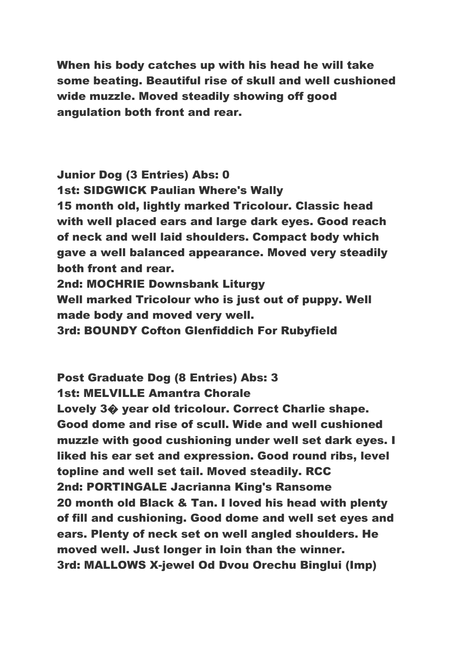When his body catches up with his head he will take some beating. Beautiful rise of skull and well cushioned wide muzzle. Moved steadily showing off good angulation both front and rear.

Junior Dog (3 Entries) Abs: 0 1st: SIDGWICK Paulian Where's Wally 15 month old, lightly marked Tricolour. Classic head with well placed ears and large dark eyes. Good reach of neck and well laid shoulders. Compact body which gave a well balanced appearance. Moved very steadily both front and rear. 2nd: MOCHRIE Downsbank Liturgy Well marked Tricolour who is just out of puppy. Well made body and moved very well. 3rd: BOUNDY Cofton Glenfiddich For Rubyfield

Post Graduate Dog (8 Entries) Abs: 3 1st: MELVILLE Amantra Chorale Lovely 3� year old tricolour. Correct Charlie shape. Good dome and rise of scull. Wide and well cushioned muzzle with good cushioning under well set dark eyes. I liked his ear set and expression. Good round ribs, level topline and well set tail. Moved steadily. RCC 2nd: PORTINGALE Jacrianna King's Ransome 20 month old Black & Tan. I loved his head with plenty of fill and cushioning. Good dome and well set eyes and ears. Plenty of neck set on well angled shoulders. He moved well. Just longer in loin than the winner. 3rd: MALLOWS X-jewel Od Dvou Orechu Binglui (Imp)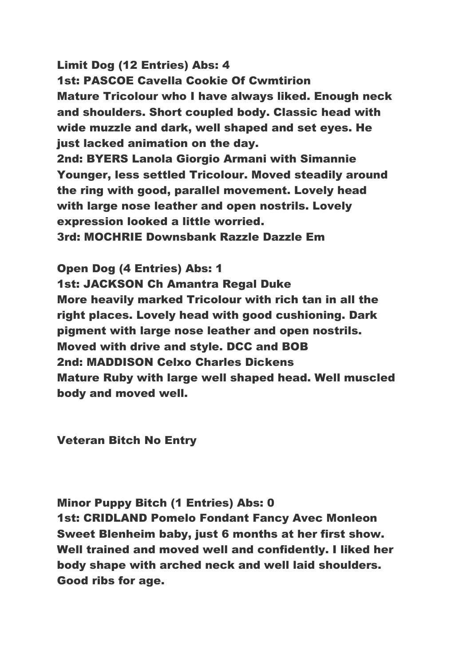Limit Dog (12 Entries) Abs: 4 1st: PASCOE Cavella Cookie Of Cwmtirion Mature Tricolour who I have always liked. Enough neck and shoulders. Short coupled body. Classic head with wide muzzle and dark, well shaped and set eyes. He just lacked animation on the day. 2nd: BYERS Lanola Giorgio Armani with Simannie Younger, less settled Tricolour. Moved steadily around the ring with good, parallel movement. Lovely head with large nose leather and open nostrils. Lovely expression looked a little worried.

3rd: MOCHRIE Downsbank Razzle Dazzle Em

Open Dog (4 Entries) Abs: 1 1st: JACKSON Ch Amantra Regal Duke More heavily marked Tricolour with rich tan in all the right places. Lovely head with good cushioning. Dark pigment with large nose leather and open nostrils. Moved with drive and style. DCC and BOB 2nd: MADDISON Celxo Charles Dickens Mature Ruby with large well shaped head. Well muscled body and moved well.

Veteran Bitch No Entry

## Minor Puppy Bitch (1 Entries) Abs: 0

1st: CRIDLAND Pomelo Fondant Fancy Avec Monleon Sweet Blenheim baby, just 6 months at her first show. Well trained and moved well and confidently. I liked her body shape with arched neck and well laid shoulders. Good ribs for age.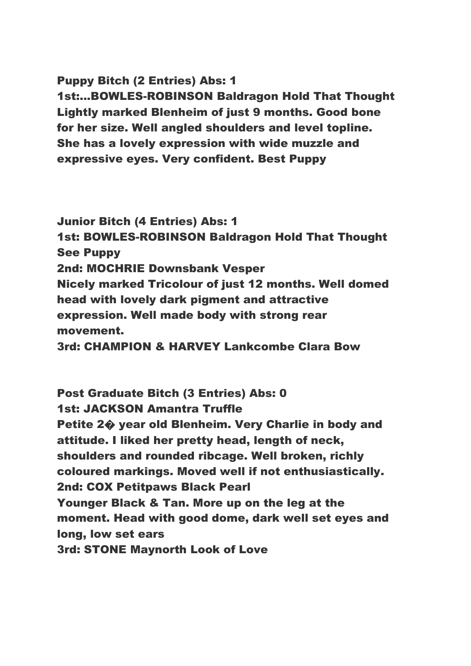## Puppy Bitch (2 Entries) Abs: 1

1st:...BOWLES-ROBINSON Baldragon Hold That Thought Lightly marked Blenheim of just 9 months. Good bone for her size. Well angled shoulders and level topline. She has a lovely expression with wide muzzle and expressive eyes. Very confident. Best Puppy

Junior Bitch (4 Entries) Abs: 1 1st: BOWLES-ROBINSON Baldragon Hold That Thought See Puppy 2nd: MOCHRIE Downsbank Vesper Nicely marked Tricolour of just 12 months. Well domed head with lovely dark pigment and attractive expression. Well made body with strong rear movement.

3rd: CHAMPION & HARVEY Lankcombe Clara Bow

Post Graduate Bitch (3 Entries) Abs: 0 1st: JACKSON Amantra Truffle Petite 2� year old Blenheim. Very Charlie in body and attitude. I liked her pretty head, length of neck, shoulders and rounded ribcage. Well broken, richly coloured markings. Moved well if not enthusiastically. 2nd: COX Petitpaws Black Pearl Younger Black & Tan. More up on the leg at the moment. Head with good dome, dark well set eyes and long, low set ears 3rd: STONE Maynorth Look of Love